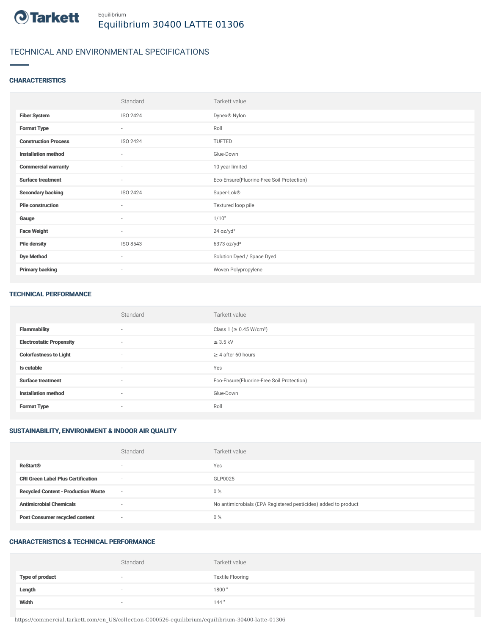

# TECHNICAL AND ENVIRONMENTAL SPECIFICATIONS

# **CHARACTERISTICS**

|                             | Standard                 | Tarkett value                             |
|-----------------------------|--------------------------|-------------------------------------------|
| <b>Fiber System</b>         | ISO 2424                 | Dynex® Nylon                              |
| <b>Format Type</b>          | $\sim$                   | Roll                                      |
| <b>Construction Process</b> | ISO 2424                 | TUFTED                                    |
| <b>Installation method</b>  | $\overline{\phantom{a}}$ | Glue-Down                                 |
| <b>Commercial warranty</b>  | $\sim$                   | 10 year limited                           |
| <b>Surface treatment</b>    | $\sim$                   | Eco-Ensure(Fluorine-Free Soil Protection) |
| <b>Secondary backing</b>    | ISO 2424                 | Super-Lok®                                |
| <b>Pile construction</b>    | $\sim$                   | Textured loop pile                        |
| Gauge                       | $\sim$                   | 1/10"                                     |
| <b>Face Weight</b>          | $\overline{\phantom{a}}$ | 24 oz/yd <sup>2</sup>                     |
| <b>Pile density</b>         | ISO 8543                 | $6373$ oz/yd <sup>3</sup>                 |
| <b>Dye Method</b>           | $\sim$                   | Solution Dyed / Space Dyed                |
| <b>Primary backing</b>      | $\overline{\phantom{a}}$ | Woven Polypropylene                       |

#### TECHNICAL PERFORMANCE

|                                 | Standard                 | Tarkett value                             |
|---------------------------------|--------------------------|-------------------------------------------|
| <b>Flammability</b>             | $\overline{\phantom{a}}$ | Class 1 (≥ 0.45 W/cm <sup>2</sup> )       |
| <b>Electrostatic Propensity</b> | $\overline{a}$           | $\leq$ 3.5 kV                             |
| <b>Colorfastness to Light</b>   | $\sim$                   | $\geq$ 4 after 60 hours                   |
| Is cutable                      | $\sim$                   | Yes                                       |
| <b>Surface treatment</b>        | $\sim$                   | Eco-Ensure(Fluorine-Free Soil Protection) |
| <b>Installation method</b>      | $\overline{\phantom{a}}$ | Glue-Down                                 |
| <b>Format Type</b>              | $\sim$                   | Roll                                      |

# SUSTAINABILITY, ENVIRONMENT & INDOOR AIR QUALITY

|                                            | Standard                 | Tarkett value                                                  |
|--------------------------------------------|--------------------------|----------------------------------------------------------------|
| <b>ReStart®</b>                            | $\overline{\phantom{a}}$ | Yes                                                            |
| <b>CRI Green Label Plus Certification</b>  | $\sim$                   | GLP0025                                                        |
| <b>Recycled Content - Production Waste</b> | $\sim$                   | $0\%$                                                          |
| <b>Antimicrobial Chemicals</b>             | -                        | No antimicrobials (EPA Registered pesticides) added to product |
| <b>Post Consumer recycled content</b>      | $\sim$                   | $0\%$                                                          |

# CHARACTERISTICS & TECHNICAL PERFORMANCE

|                        | Standard | Tarkett value           |
|------------------------|----------|-------------------------|
| <b>Type of product</b> | $\sim$   | <b>Textile Flooring</b> |
| Length                 |          | 1800                    |
| Width                  |          | 144"                    |

https://commercial.tarkett.com/en\_US/collection-C000526-equilibrium/equilibrium-30400-latte-01306